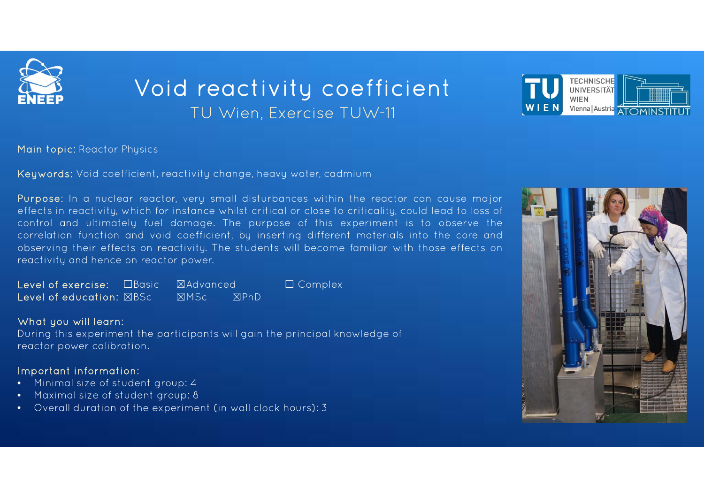

## TU Wien, Exercise TUW-11 Void reactivity coefficient



Main topic: Reactor Physics

Keywords: Void coefficient, reactivity change, heavy water, cadmium

Purpose: In a nuclear reactor, very small disturbances within the reactor can cause major effects in reactivity, which for instance whilst critical or close to criticality, could lead to loss of control and ultimately fuel damage. The purpose of this experiment is to observe the correlation function and void coefficient, by inserting different materials into the core and observing their effects on reactivity. The students will become familiar with those effects on reactivity and hence on reactor power.

Level of exercise: ☐Basic ☒Advanced ☐ Complex Level of education: ☒BSc☒MSc ☒PhD

### What you will learn:

During this experiment the participants will gain the principal knowledge of reactor power calibration.

### Important information:

- Minimal size of student group: 4
- •Maximal size of student group: 8
- •Overall duration of the experiment (in wall clock hours): 3